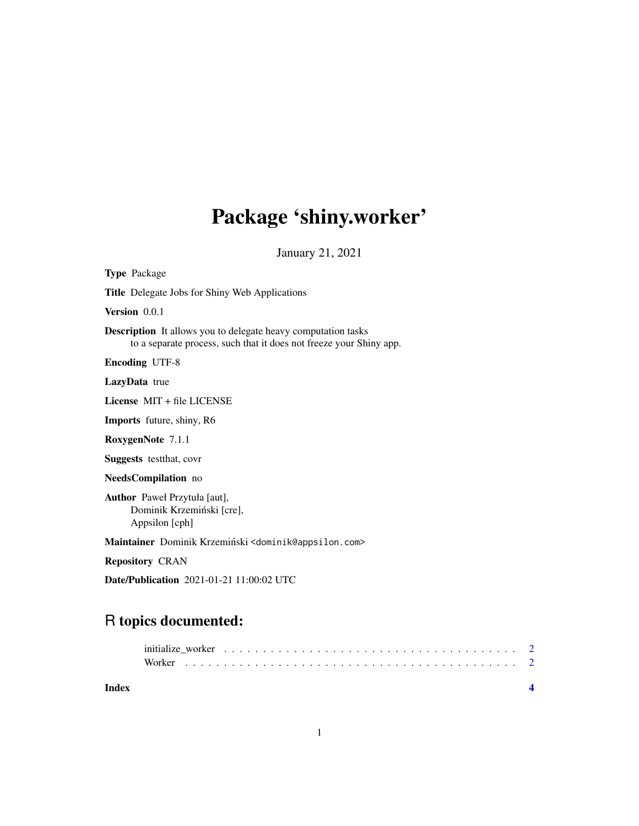## Package 'shiny.worker'

January 21, 2021

Type Package Title Delegate Jobs for Shiny Web Applications Version 0.0.1 Description It allows you to delegate heavy computation tasks to a separate process, such that it does not freeze your Shiny app. Encoding UTF-8 LazyData true License MIT + file LICENSE Imports future, shiny, R6 RoxygenNote 7.1.1 Suggests testthat, covr NeedsCompilation no Author Paweł Przytuła [aut], Dominik Krzemiński [cre], Appsilon [cph] Maintainer Dominik Krzemiński <dominik@appsilon.com> Repository CRAN

Date/Publication 2021-01-21 11:00:02 UTC

### R topics documented:

| Index |  |  |  |  |  |  |  |  |  |  |  |  |  |  |  |  |  |  |
|-------|--|--|--|--|--|--|--|--|--|--|--|--|--|--|--|--|--|--|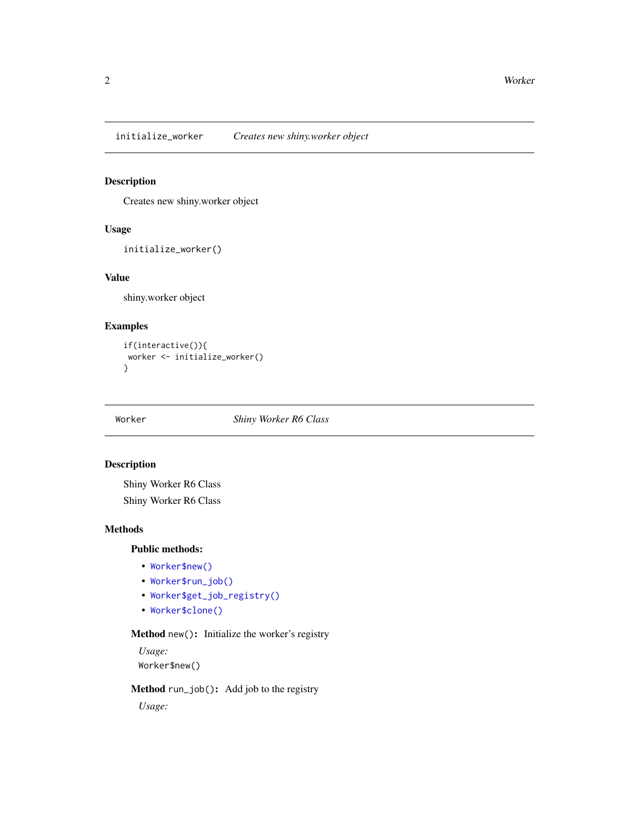<span id="page-1-0"></span>initialize\_worker *Creates new shiny.worker object*

#### Description

Creates new shiny.worker object

#### Usage

```
initialize_worker()
```
#### Value

shiny.worker object

#### Examples

if(interactive()){ worker <- initialize\_worker() }

Worker *Shiny Worker R6 Class*

#### Description

Shiny Worker R6 Class

Shiny Worker R6 Class

#### Methods

#### Public methods:

- [Worker\\$new\(\)](#page-1-1)
- [Worker\\$run\\_job\(\)](#page-1-2)
- [Worker\\$get\\_job\\_registry\(\)](#page-2-0)
- [Worker\\$clone\(\)](#page-2-1)

#### <span id="page-1-1"></span>Method new(): Initialize the worker's registry

*Usage:*

Worker\$new()

#### <span id="page-1-2"></span>Method run\_job(): Add job to the registry

*Usage:*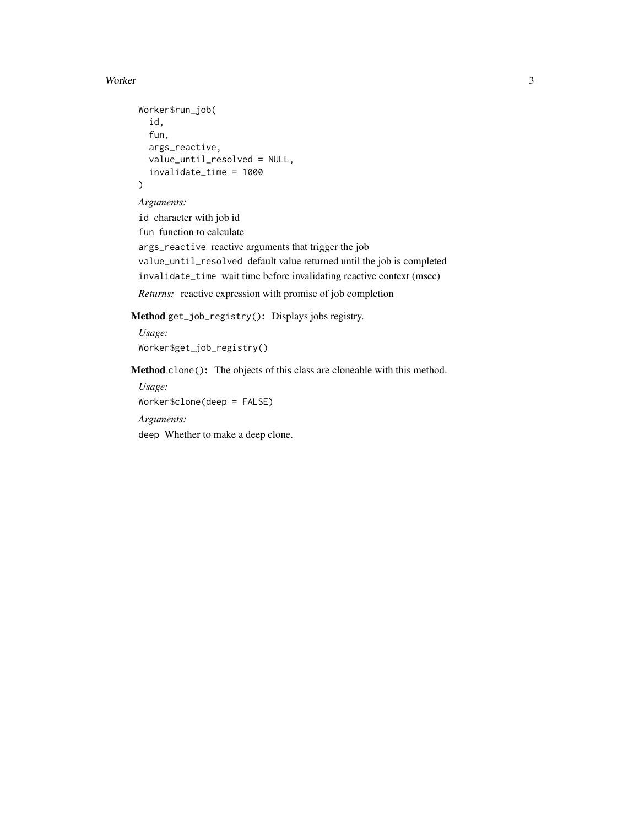#### Worker 3

```
Worker$run_job(
  id,
  fun,
  args_reactive,
  value_until_resolved = NULL,
  invalidate_time = 1000
)
```
*Arguments:*

id character with job id

fun function to calculate

args\_reactive reactive arguments that trigger the job value\_until\_resolved default value returned until the job is completed

invalidate\_time wait time before invalidating reactive context (msec)

*Returns:* reactive expression with promise of job completion

<span id="page-2-0"></span>Method get\_job\_registry(): Displays jobs registry.

*Usage:* Worker\$get\_job\_registry()

<span id="page-2-1"></span>Method clone(): The objects of this class are cloneable with this method.

*Usage:* Worker\$clone(deep = FALSE)

*Arguments:*

deep Whether to make a deep clone.